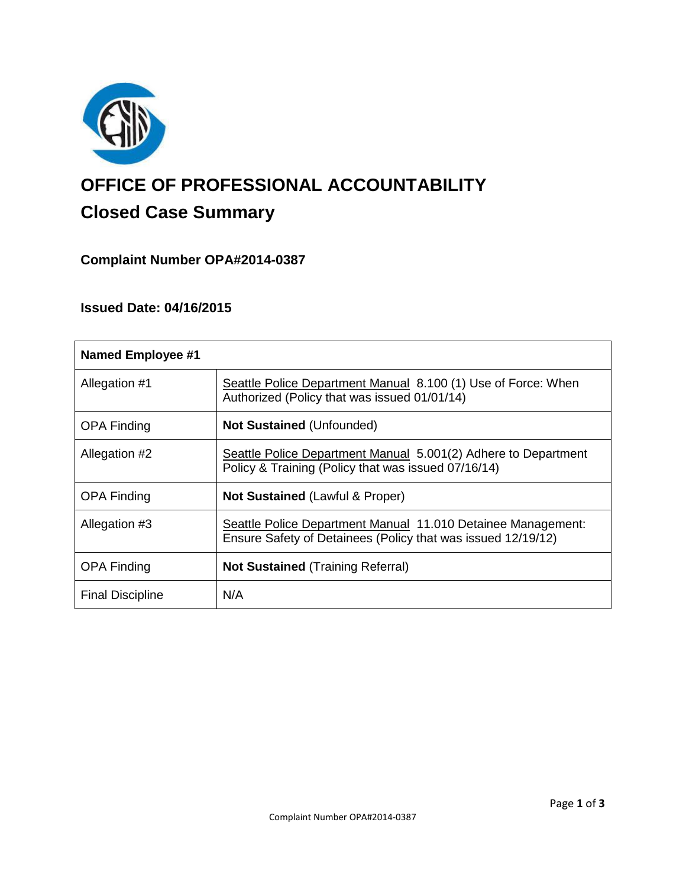

# **OFFICE OF PROFESSIONAL ACCOUNTABILITY Closed Case Summary**

# **Complaint Number OPA#2014-0387**

## **Issued Date: 04/16/2015**

| <b>Named Employee #1</b> |                                                                                                                              |
|--------------------------|------------------------------------------------------------------------------------------------------------------------------|
| Allegation #1            | Seattle Police Department Manual 8.100 (1) Use of Force: When<br>Authorized (Policy that was issued 01/01/14)                |
| <b>OPA Finding</b>       | <b>Not Sustained (Unfounded)</b>                                                                                             |
| Allegation #2            | Seattle Police Department Manual 5.001(2) Adhere to Department<br>Policy & Training (Policy that was issued 07/16/14)        |
| <b>OPA Finding</b>       | <b>Not Sustained (Lawful &amp; Proper)</b>                                                                                   |
| Allegation #3            | Seattle Police Department Manual 11.010 Detainee Management:<br>Ensure Safety of Detainees (Policy that was issued 12/19/12) |
| <b>OPA Finding</b>       | <b>Not Sustained (Training Referral)</b>                                                                                     |
| <b>Final Discipline</b>  | N/A                                                                                                                          |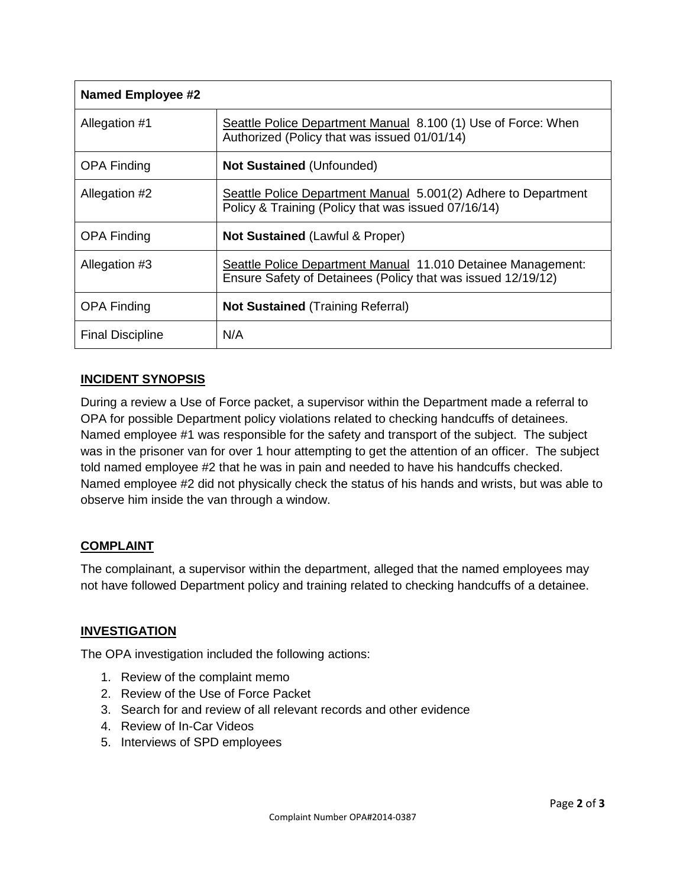| <b>Named Employee #2</b> |                                                                                                                              |
|--------------------------|------------------------------------------------------------------------------------------------------------------------------|
| Allegation #1            | Seattle Police Department Manual 8.100 (1) Use of Force: When<br>Authorized (Policy that was issued 01/01/14)                |
| <b>OPA Finding</b>       | <b>Not Sustained (Unfounded)</b>                                                                                             |
| Allegation #2            | Seattle Police Department Manual 5.001(2) Adhere to Department<br>Policy & Training (Policy that was issued 07/16/14)        |
| <b>OPA Finding</b>       | <b>Not Sustained (Lawful &amp; Proper)</b>                                                                                   |
| Allegation #3            | Seattle Police Department Manual 11.010 Detainee Management:<br>Ensure Safety of Detainees (Policy that was issued 12/19/12) |
| <b>OPA Finding</b>       | <b>Not Sustained (Training Referral)</b>                                                                                     |
| <b>Final Discipline</b>  | N/A                                                                                                                          |

## **INCIDENT SYNOPSIS**

During a review a Use of Force packet, a supervisor within the Department made a referral to OPA for possible Department policy violations related to checking handcuffs of detainees. Named employee #1 was responsible for the safety and transport of the subject. The subject was in the prisoner van for over 1 hour attempting to get the attention of an officer. The subject told named employee #2 that he was in pain and needed to have his handcuffs checked. Named employee #2 did not physically check the status of his hands and wrists, but was able to observe him inside the van through a window.

## **COMPLAINT**

The complainant, a supervisor within the department, alleged that the named employees may not have followed Department policy and training related to checking handcuffs of a detainee.

## **INVESTIGATION**

The OPA investigation included the following actions:

- 1. Review of the complaint memo
- 2. Review of the Use of Force Packet
- 3. Search for and review of all relevant records and other evidence
- 4. Review of In-Car Videos
- 5. Interviews of SPD employees